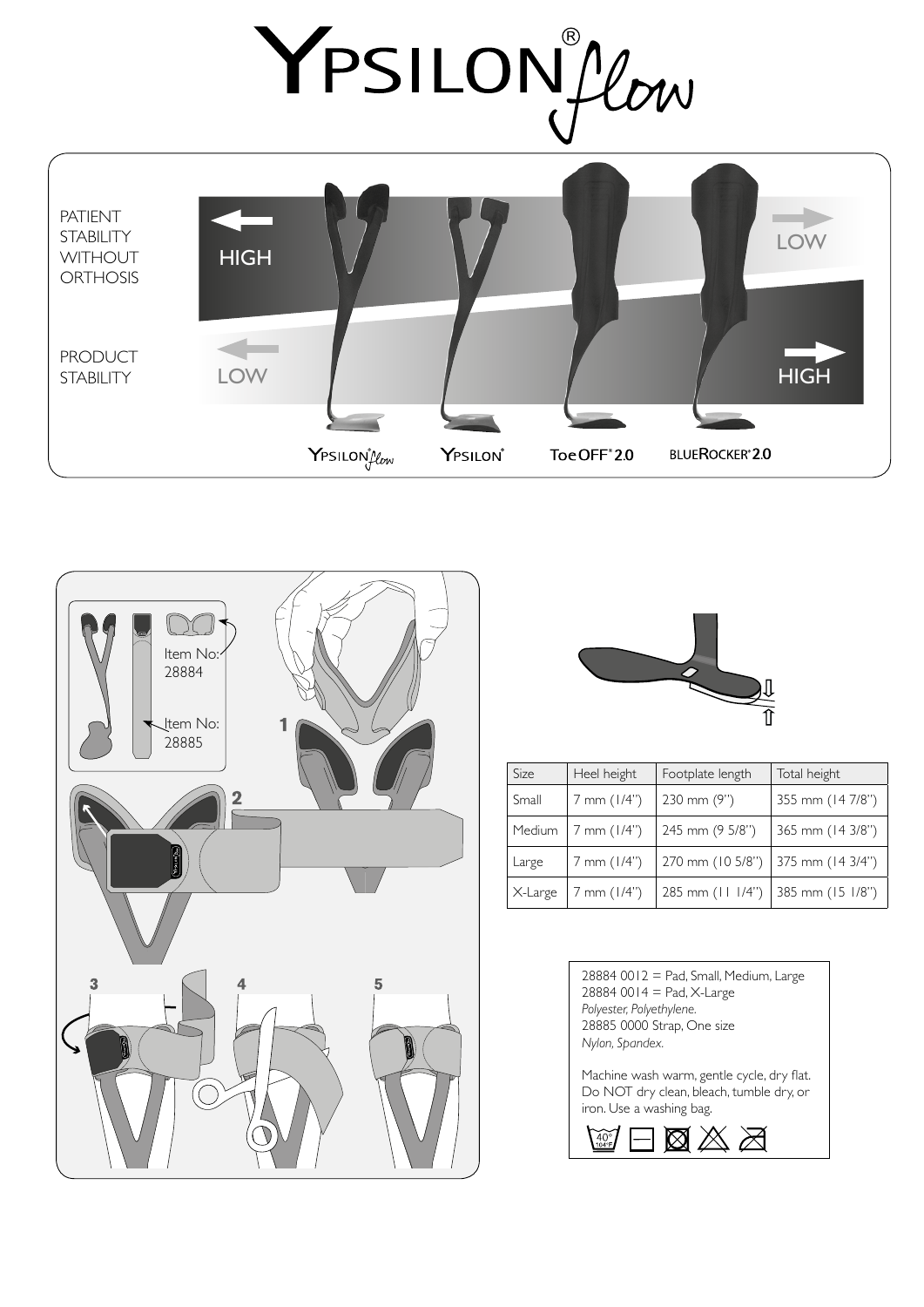

PATIENT **STABILITY LOW HIGH WITHOUT ORTHOSIS** PRODUCT **HIGH STABILITY** LOW YPSILONIOW YPSILON® Toe OFF<sup>®</sup>2.0 **BLUEROCKER®2.0** 





| Size    | Heel height     | Footplate length | Total height     |
|---------|-----------------|------------------|------------------|
| Small   | $7$ mm $(1/4")$ | 230 mm (9")      | 355 mm (14 7/8") |
| Medium  | $7$ mm $(1/4")$ | 245 mm (9 5/8")  | 365 mm (14 3/8") |
| Large   | 7 mm (1/4")     | 270 mm (10 5/8") | 375 mm (14 3/4") |
| X-Large | $7$ mm $(1/4")$ | 285 mm (11 1/4") | 385 mm (15 1/8") |

28884 0012 = Pad, Small, Medium, Large  $28884 0014 =$  Pad, X-Large *Polyester, Polyethylene.* 28885 0000 Strap, One size *Nylon, Spandex.*

Machine wash warm, gentle cycle, dry flat. Do NOT dry clean, bleach, tumble dry, or iron. Use a washing bag.